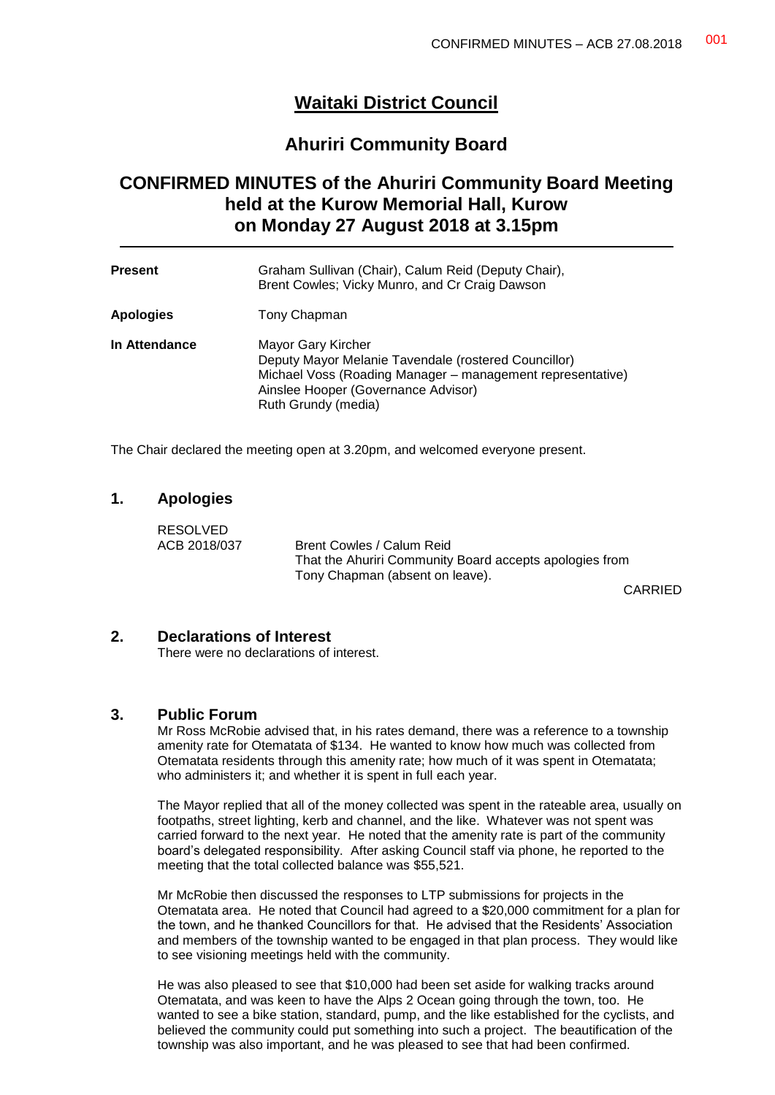## **Waitaki District Council**

## **Ahuriri Community Board**

# **CONFIRMED MINUTES of the Ahuriri Community Board Meeting held at the Kurow Memorial Hall, Kurow on Monday 27 August 2018 at 3.15pm**

| <b>Present</b>   | Graham Sullivan (Chair), Calum Reid (Deputy Chair),<br>Brent Cowles; Vicky Munro, and Cr Craig Dawson                                                                                                  |
|------------------|--------------------------------------------------------------------------------------------------------------------------------------------------------------------------------------------------------|
| <b>Apologies</b> | Tony Chapman                                                                                                                                                                                           |
| In Attendance    | Mayor Gary Kircher<br>Deputy Mayor Melanie Tavendale (rostered Councillor)<br>Michael Voss (Roading Manager - management representative)<br>Ainslee Hooper (Governance Advisor)<br>Ruth Grundy (media) |

The Chair declared the meeting open at 3.20pm, and welcomed everyone present.

### **1. Apologies**

RESOLVED

ACB 2018/037 Brent Cowles / Calum Reid That the Ahuriri Community Board accepts apologies from Tony Chapman (absent on leave).

CARRIED

### **2. Declarations of Interest**

There were no declarations of interest.

### **3. Public Forum**

Mr Ross McRobie advised that, in his rates demand, there was a reference to a township amenity rate for Otematata of \$134. He wanted to know how much was collected from Otematata residents through this amenity rate; how much of it was spent in Otematata; who administers it; and whether it is spent in full each year.

The Mayor replied that all of the money collected was spent in the rateable area, usually on footpaths, street lighting, kerb and channel, and the like. Whatever was not spent was carried forward to the next year. He noted that the amenity rate is part of the community board's delegated responsibility. After asking Council staff via phone, he reported to the meeting that the total collected balance was \$55,521.

Mr McRobie then discussed the responses to LTP submissions for projects in the Otematata area. He noted that Council had agreed to a \$20,000 commitment for a plan for the town, and he thanked Councillors for that. He advised that the Residents' Association and members of the township wanted to be engaged in that plan process. They would like to see visioning meetings held with the community.

He was also pleased to see that \$10,000 had been set aside for walking tracks around Otematata, and was keen to have the Alps 2 Ocean going through the town, too. He wanted to see a bike station, standard, pump, and the like established for the cyclists, and believed the community could put something into such a project. The beautification of the township was also important, and he was pleased to see that had been confirmed.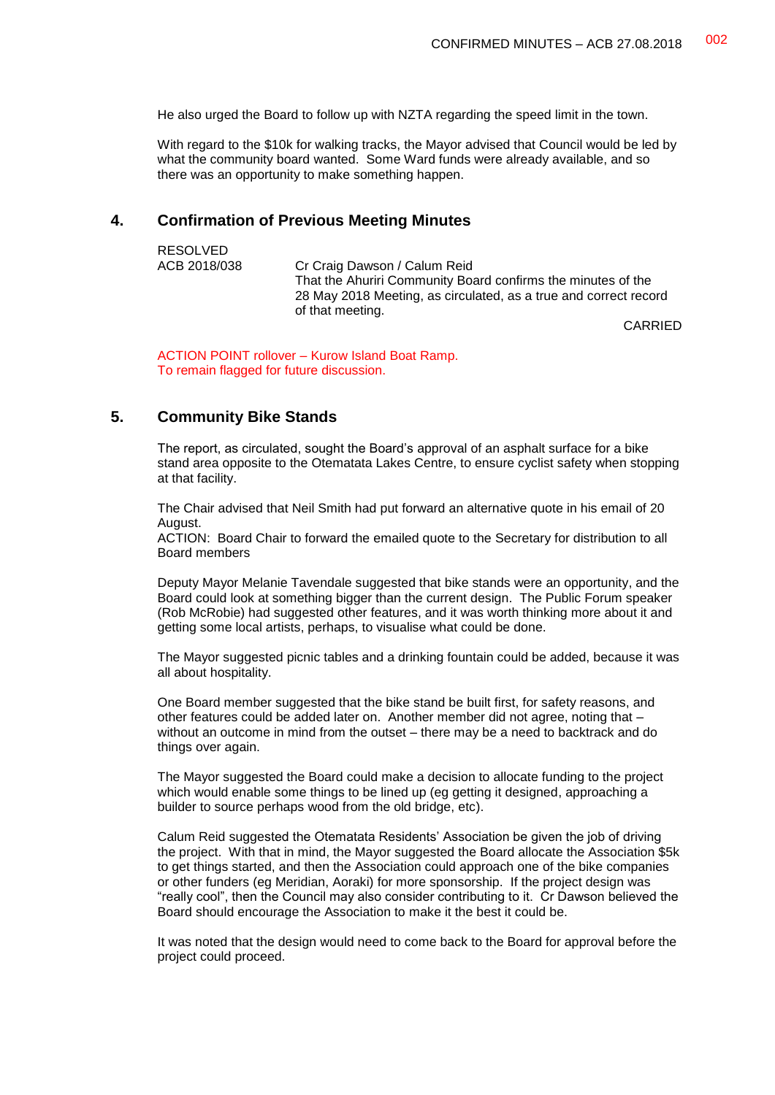He also urged the Board to follow up with NZTA regarding the speed limit in the town.

With regard to the \$10k for walking tracks, the Mayor advised that Council would be led by what the community board wanted. Some Ward funds were already available, and so there was an opportunity to make something happen.

### **4. Confirmation of Previous Meeting Minutes**

| <b>RESOLVED</b> |                                                                  |
|-----------------|------------------------------------------------------------------|
| ACB 2018/038    | Cr Craig Dawson / Calum Reid                                     |
|                 | That the Ahuriri Community Board confirms the minutes of the     |
|                 | 28 May 2018 Meeting, as circulated, as a true and correct record |
|                 | of that meeting.                                                 |
|                 | CADDITI                                                          |

CARRIED

ACTION POINT rollover – Kurow Island Boat Ramp. To remain flagged for future discussion.

### **5. Community Bike Stands**

The report, as circulated, sought the Board's approval of an asphalt surface for a bike stand area opposite to the Otematata Lakes Centre, to ensure cyclist safety when stopping at that facility.

The Chair advised that Neil Smith had put forward an alternative quote in his email of 20 August.

ACTION: Board Chair to forward the emailed quote to the Secretary for distribution to all Board members

Deputy Mayor Melanie Tavendale suggested that bike stands were an opportunity, and the Board could look at something bigger than the current design. The Public Forum speaker (Rob McRobie) had suggested other features, and it was worth thinking more about it and getting some local artists, perhaps, to visualise what could be done.

The Mayor suggested picnic tables and a drinking fountain could be added, because it was all about hospitality.

One Board member suggested that the bike stand be built first, for safety reasons, and other features could be added later on. Another member did not agree, noting that – without an outcome in mind from the outset – there may be a need to backtrack and do things over again.

The Mayor suggested the Board could make a decision to allocate funding to the project which would enable some things to be lined up (eg getting it designed, approaching a builder to source perhaps wood from the old bridge, etc).

Calum Reid suggested the Otematata Residents' Association be given the job of driving the project. With that in mind, the Mayor suggested the Board allocate the Association \$5k to get things started, and then the Association could approach one of the bike companies or other funders (eg Meridian, Aoraki) for more sponsorship. If the project design was "really cool", then the Council may also consider contributing to it. Cr Dawson believed the Board should encourage the Association to make it the best it could be.

It was noted that the design would need to come back to the Board for approval before the project could proceed.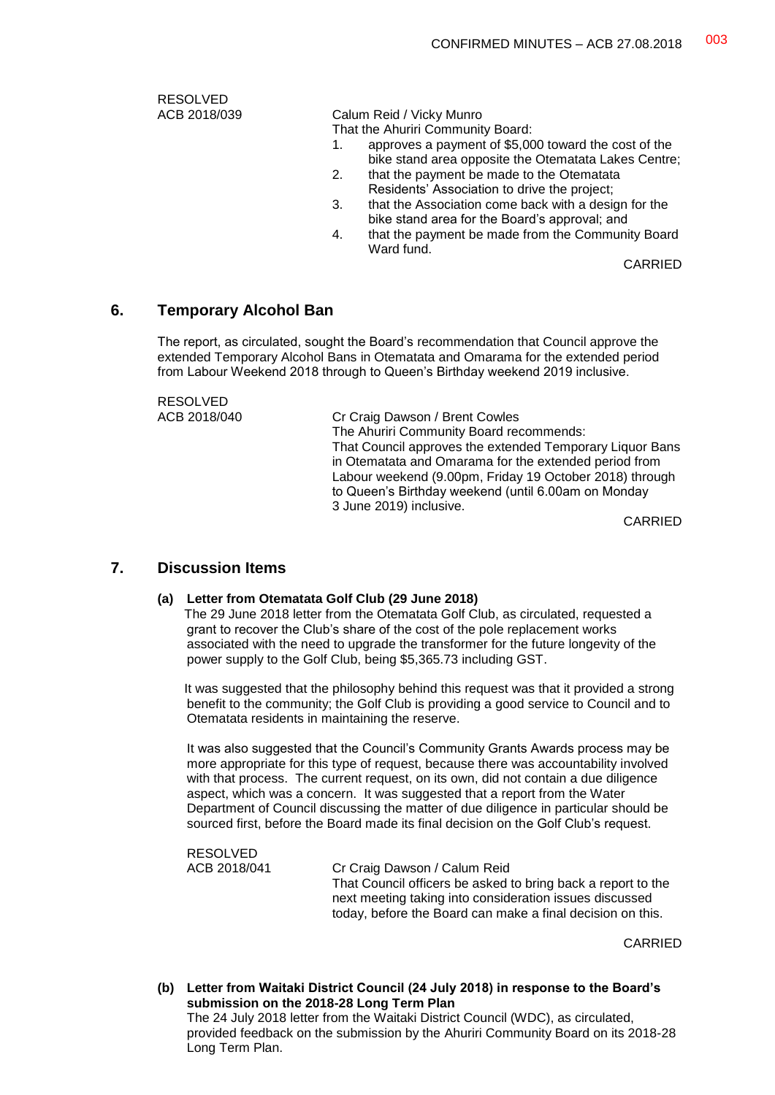RESOLVED<br>ACB 2018/039

Calum Reid / Vicky Munro

That the Ahuriri Community Board:

- 1. approves a payment of \$5,000 toward the cost of the bike stand area opposite the Otematata Lakes Centre;
- 2. that the payment be made to the Otematata Residents' Association to drive the project;
- 3. that the Association come back with a design for the bike stand area for the Board's approval; and
- 4. that the payment be made from the Community Board Ward fund.

CARRIED

### **6. Temporary Alcohol Ban**

The report, as circulated, sought the Board's recommendation that Council approve the extended Temporary Alcohol Bans in Otematata and Omarama for the extended period from Labour Weekend 2018 through to Queen's Birthday weekend 2019 inclusive.

RESOLVED<br>ACB 2018/040

Cr Craig Dawson / Brent Cowles The Ahuriri Community Board recommends: That Council approves the extended Temporary Liquor Bans in Otematata and Omarama for the extended period from Labour weekend (9.00pm, Friday 19 October 2018) through to Queen's Birthday weekend (until 6.00am on Monday 3 June 2019) inclusive.

CARRIED

### **7. Discussion Items**

#### **(a) Letter from Otematata Golf Club (29 June 2018)**

The 29 June 2018 letter from the Otematata Golf Club, as circulated, requested a grant to recover the Club's share of the cost of the pole replacement works associated with the need to upgrade the transformer for the future longevity of the power supply to the Golf Club, being \$5,365.73 including GST.

It was suggested that the philosophy behind this request was that it provided a strong benefit to the community; the Golf Club is providing a good service to Council and to Otematata residents in maintaining the reserve.

It was also suggested that the Council's Community Grants Awards process may be more appropriate for this type of request, because there was accountability involved with that process. The current request, on its own, did not contain a due diligence aspect, which was a concern. It was suggested that a report from the Water Department of Council discussing the matter of due diligence in particular should be sourced first, before the Board made its final decision on the Golf Club's request.

RESOLVED

ACB 2018/041 Cr Craig Dawson / Calum Reid That Council officers be asked to bring back a report to the next meeting taking into consideration issues discussed today, before the Board can make a final decision on this.

CARRIED

**(b) Letter from Waitaki District Council (24 July 2018) in response to the Board's submission on the 2018-28 Long Term Plan** The 24 July 2018 letter from the Waitaki District Council (WDC), as circulated, provided feedback on the submission by the Ahuriri Community Board on its 2018-28 Long Term Plan.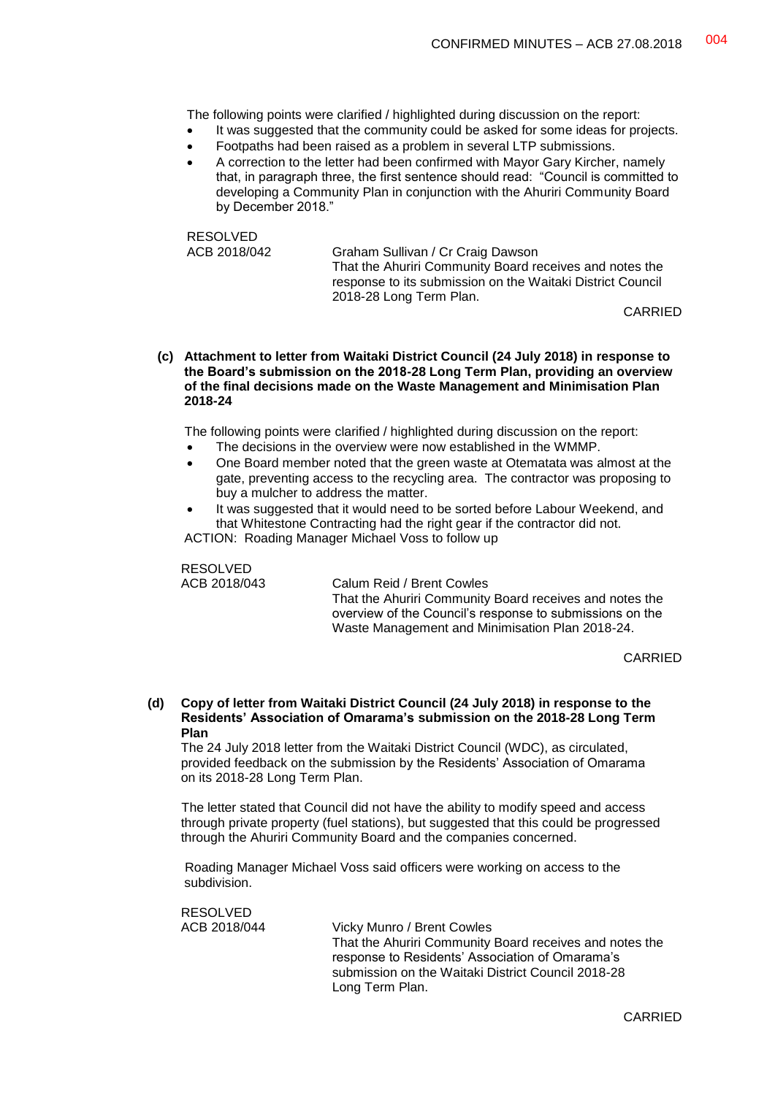The following points were clarified / highlighted during discussion on the report:

- It was suggested that the community could be asked for some ideas for projects.
- Footpaths had been raised as a problem in several LTP submissions.
- A correction to the letter had been confirmed with Mayor Gary Kircher, namely that, in paragraph three, the first sentence should read: "Council is committed to developing a Community Plan in conjunction with the Ahuriri Community Board by December 2018."

RESOLVED<br>ACB 2018/042

Graham Sullivan / Cr Craig Dawson That the Ahuriri Community Board receives and notes the response to its submission on the Waitaki District Council 2018-28 Long Term Plan.

CARRIED

**(c) Attachment to letter from Waitaki District Council (24 July 2018) in response to the Board's submission on the 2018-28 Long Term Plan, providing an overview of the final decisions made on the Waste Management and Minimisation Plan 2018-24**

The following points were clarified / highlighted during discussion on the report:

- The decisions in the overview were now established in the WMMP.
- One Board member noted that the green waste at Otematata was almost at the gate, preventing access to the recycling area. The contractor was proposing to buy a mulcher to address the matter.
- It was suggested that it would need to be sorted before Labour Weekend, and that Whitestone Contracting had the right gear if the contractor did not.

ACTION: Roading Manager Michael Voss to follow up

RESOLVED

RESOLVED

ACB 2018/043 Calum Reid / Brent Cowles That the Ahuriri Community Board receives and notes the overview of the Council's response to submissions on the Waste Management and Minimisation Plan 2018-24.

CARRIED

#### **(d) Copy of letter from Waitaki District Council (24 July 2018) in response to the Residents' Association of Omarama's submission on the 2018-28 Long Term Plan**

The 24 July 2018 letter from the Waitaki District Council (WDC), as circulated, provided feedback on the submission by the Residents' Association of Omarama on its 2018-28 Long Term Plan.

The letter stated that Council did not have the ability to modify speed and access through private property (fuel stations), but suggested that this could be progressed through the Ahuriri Community Board and the companies concerned.

Roading Manager Michael Voss said officers were working on access to the subdivision.

| Vicky Munro / Brent Cowles                              |
|---------------------------------------------------------|
| That the Ahuriri Community Board receives and notes the |
| response to Residents' Association of Omarama's         |
| submission on the Waitaki District Council 2018-28      |
| Long Term Plan.                                         |
|                                                         |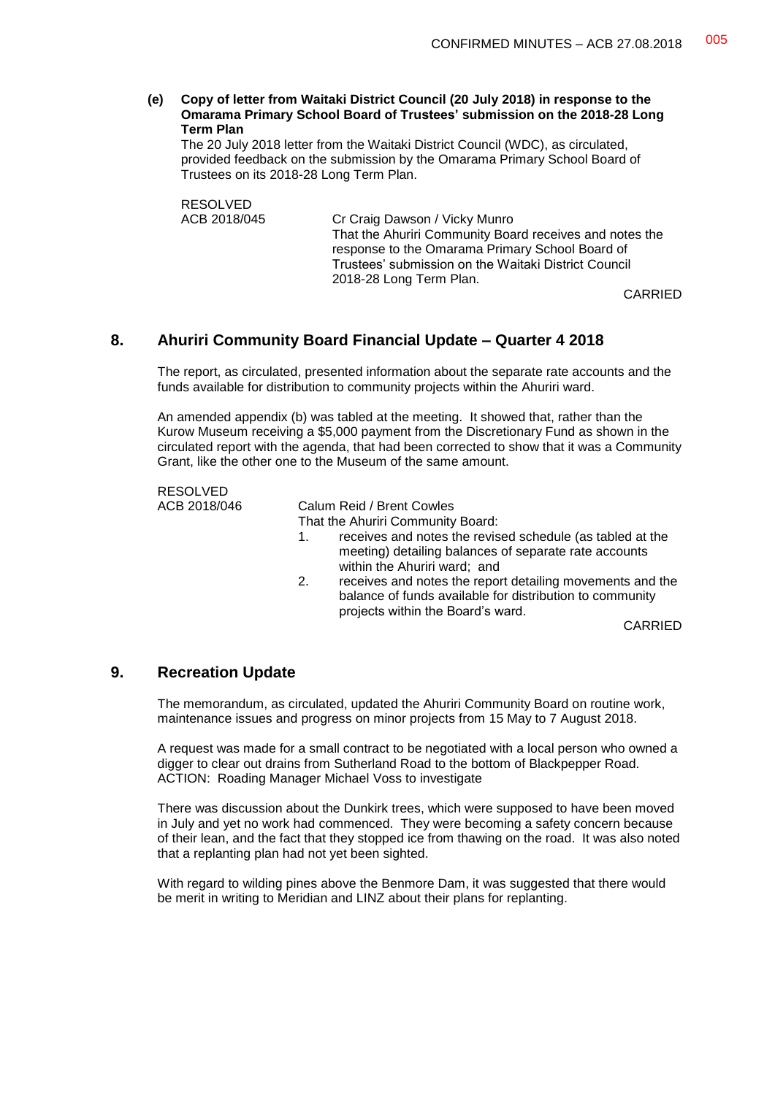**(e) Copy of letter from Waitaki District Council (20 July 2018) in response to the Omarama Primary School Board of Trustees' submission on the 2018-28 Long Term Plan**

The 20 July 2018 letter from the Waitaki District Council (WDC), as circulated, provided feedback on the submission by the Omarama Primary School Board of Trustees on its 2018-28 Long Term Plan.

RESOLVED<br>ACB 2018/045 Cr Craig Dawson / Vicky Munro That the Ahuriri Community Board receives and notes the response to the Omarama Primary School Board of Trustees' submission on the Waitaki District Council 2018-28 Long Term Plan.

CARRIED

### **8. Ahuriri Community Board Financial Update – Quarter 4 2018**

The report, as circulated, presented information about the separate rate accounts and the funds available for distribution to community projects within the Ahuriri ward.

An amended appendix (b) was tabled at the meeting. It showed that, rather than the Kurow Museum receiving a \$5,000 payment from the Discretionary Fund as shown in the circulated report with the agenda, that had been corrected to show that it was a Community Grant, like the other one to the Museum of the same amount.

RESOLVED ACB 2018/046 Calum Reid / Brent Cowles That the Ahuriri Community Board: 1. receives and notes the revised schedule (as tabled at the meeting) detailing balances of separate rate accounts within the Ahuriri ward; and 2. receives and notes the report detailing movements and the balance of funds available for distribution to community projects within the Board's ward. CARRIED

### **9. Recreation Update**

The memorandum, as circulated, updated the Ahuriri Community Board on routine work, maintenance issues and progress on minor projects from 15 May to 7 August 2018.

A request was made for a small contract to be negotiated with a local person who owned a digger to clear out drains from Sutherland Road to the bottom of Blackpepper Road. ACTION: Roading Manager Michael Voss to investigate

There was discussion about the Dunkirk trees, which were supposed to have been moved in July and yet no work had commenced. They were becoming a safety concern because of their lean, and the fact that they stopped ice from thawing on the road. It was also noted that a replanting plan had not yet been sighted.

With regard to wilding pines above the Benmore Dam, it was suggested that there would be merit in writing to Meridian and LINZ about their plans for replanting.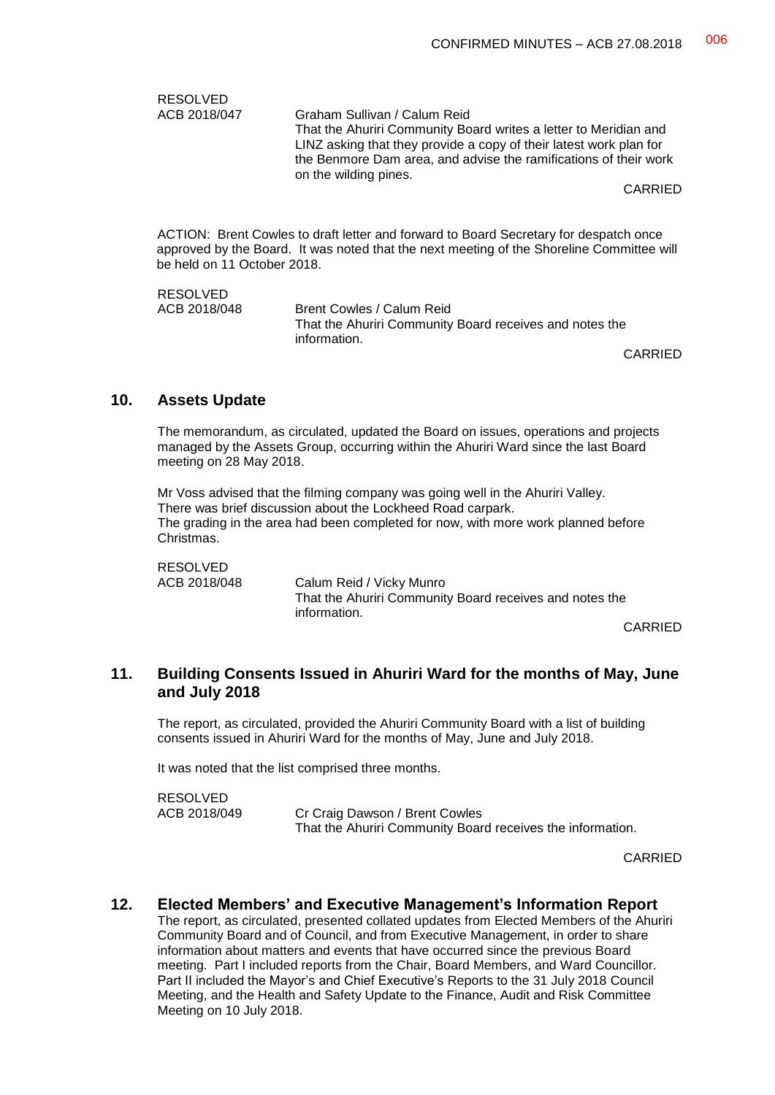| <b>RESOLVED</b><br>ACB 2018/047 | Graham Sullivan / Calum Reid<br>That the Ahuriri Community Board writes a letter to Meridian and<br>LINZ asking that they provide a copy of their latest work plan for<br>the Benmore Dam area, and advise the ramifications of their work<br>on the wilding pines.<br>CARRIED |
|---------------------------------|--------------------------------------------------------------------------------------------------------------------------------------------------------------------------------------------------------------------------------------------------------------------------------|
| be held on 11 October 2018.     | ACTION: Brent Cowles to draft letter and forward to Board Secretary for despatch once<br>approved by the Board. It was noted that the next meeting of the Shoreline Committee will                                                                                             |
| <b>RESOLVED</b><br>ACB 2018/048 | Brent Cowles / Calum Reid<br>That the Ahuriri Community Board receives and notes the                                                                                                                                                                                           |

CARRIED

### **10. Assets Update**

The memorandum, as circulated, updated the Board on issues, operations and projects managed by the Assets Group, occurring within the Ahuriri Ward since the last Board meeting on 28 May 2018.

information.

Mr Voss advised that the filming company was going well in the Ahuriri Valley. There was brief discussion about the Lockheed Road carpark. The grading in the area had been completed for now, with more work planned before Christmas.

RESOLVED<br>ACB 2018/048 Calum Reid / Vicky Munro That the Ahuriri Community Board receives and notes the information.

CARRIED

### **11. Building Consents Issued in Ahuriri Ward for the months of May, June and July 2018**

The report, as circulated, provided the Ahuriri Community Board with a list of building consents issued in Ahuriri Ward for the months of May, June and July 2018.

It was noted that the list comprised three months.

RESOLVED ACB 2018/049 Cr Craig Dawson / Brent Cowles That the Ahuriri Community Board receives the information.

CARRIED

### **12. Elected Members' and Executive Management's Information Report**

The report, as circulated, presented collated updates from Elected Members of the Ahuriri Community Board and of Council, and from Executive Management, in order to share information about matters and events that have occurred since the previous Board meeting. Part I included reports from the Chair, Board Members, and Ward Councillor. Part II included the Mayor's and Chief Executive's Reports to the 31 July 2018 Council Meeting, and the Health and Safety Update to the Finance, Audit and Risk Committee Meeting on 10 July 2018.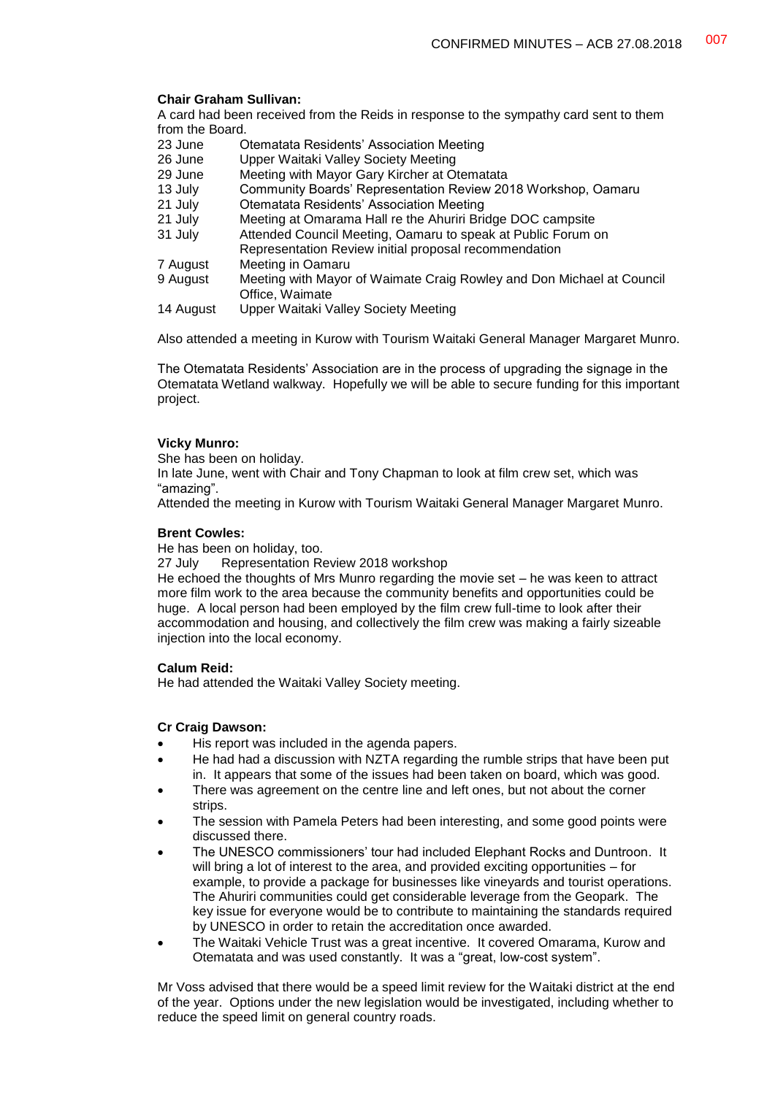#### **Chair Graham Sullivan:**

A card had been received from the Reids in response to the sympathy card sent to them from the Board.

- 23 June Ctematata Residents' Association Meeting<br>26 June Upper Waitaki Valley Society Meeting
- Upper Waitaki Valley Society Meeting
- 29 June Meeting with Mayor Gary Kircher at Otematata
- 13 July Community Boards' Representation Review 2018 Workshop, Oamaru
- 21 July Ctematata Residents' Association Meeting<br>21 July Meeting at Omarama Hall re the Ahuriri Bric
- 21 July Meeting at Omarama Hall re the Ahuriri Bridge DOC campsite<br>31 July Attended Council Meeting, Oamaru to speak at Public Forum of
- Attended Council Meeting, Oamaru to speak at Public Forum on
- Representation Review initial proposal recommendation
- 7 August Meeting in Oamaru<br>9 August Meeting with Mayor
- Meeting with Mayor of Waimate Craig Rowley and Don Michael at Council Office, Waimate
- 14 August Upper Waitaki Valley Society Meeting

Also attended a meeting in Kurow with Tourism Waitaki General Manager Margaret Munro.

The Otematata Residents' Association are in the process of upgrading the signage in the Otematata Wetland walkway. Hopefully we will be able to secure funding for this important project.

#### **Vicky Munro:**

She has been on holiday.

In late June, went with Chair and Tony Chapman to look at film crew set, which was "amazing".

Attended the meeting in Kurow with Tourism Waitaki General Manager Margaret Munro.

#### **Brent Cowles:**

He has been on holiday, too.<br>27 July Representation Re

Representation Review 2018 workshop

He echoed the thoughts of Mrs Munro regarding the movie set – he was keen to attract more film work to the area because the community benefits and opportunities could be huge. A local person had been employed by the film crew full-time to look after their accommodation and housing, and collectively the film crew was making a fairly sizeable injection into the local economy.

#### **Calum Reid:**

He had attended the Waitaki Valley Society meeting.

#### **Cr Craig Dawson:**

- His report was included in the agenda papers.
- He had had a discussion with NZTA regarding the rumble strips that have been put in. It appears that some of the issues had been taken on board, which was good.
- There was agreement on the centre line and left ones, but not about the corner strips.
- The session with Pamela Peters had been interesting, and some good points were discussed there.
- The UNESCO commissioners' tour had included Elephant Rocks and Duntroon. It will bring a lot of interest to the area, and provided exciting opportunities – for example, to provide a package for businesses like vineyards and tourist operations. The Ahuriri communities could get considerable leverage from the Geopark. The key issue for everyone would be to contribute to maintaining the standards required by UNESCO in order to retain the accreditation once awarded.
- The Waitaki Vehicle Trust was a great incentive. It covered Omarama, Kurow and Otematata and was used constantly. It was a "great, low-cost system".

Mr Voss advised that there would be a speed limit review for the Waitaki district at the end of the year. Options under the new legislation would be investigated, including whether to reduce the speed limit on general country roads.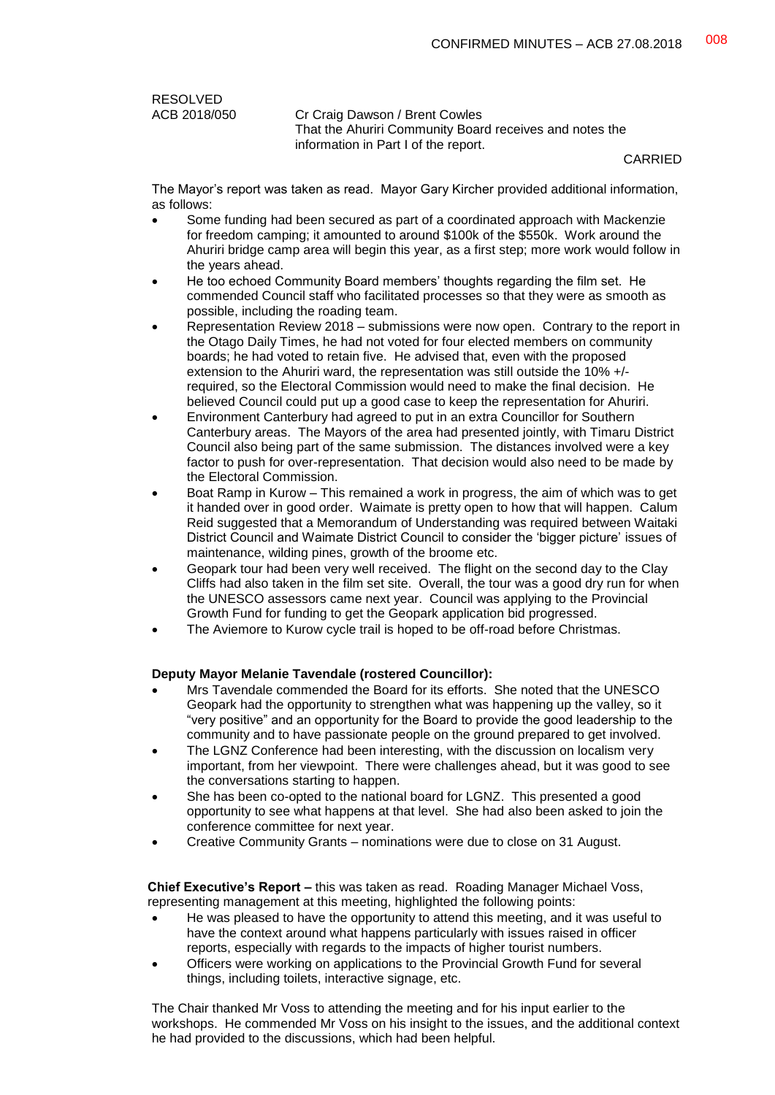RESOLVED<br>ACB 2018/050

Cr Craig Dawson / Brent Cowles That the Ahuriri Community Board receives and notes the information in Part I of the report.

CARRIED

The Mayor's report was taken as read. Mayor Gary Kircher provided additional information, as follows:

- Some funding had been secured as part of a coordinated approach with Mackenzie for freedom camping; it amounted to around \$100k of the \$550k. Work around the Ahuriri bridge camp area will begin this year, as a first step; more work would follow in the years ahead.
- He too echoed Community Board members' thoughts regarding the film set. He commended Council staff who facilitated processes so that they were as smooth as possible, including the roading team.
- Representation Review 2018 submissions were now open. Contrary to the report in the Otago Daily Times, he had not voted for four elected members on community boards; he had voted to retain five. He advised that, even with the proposed extension to the Ahuriri ward, the representation was still outside the 10% +/ required, so the Electoral Commission would need to make the final decision. He believed Council could put up a good case to keep the representation for Ahuriri.
- Environment Canterbury had agreed to put in an extra Councillor for Southern Canterbury areas. The Mayors of the area had presented jointly, with Timaru District Council also being part of the same submission. The distances involved were a key factor to push for over-representation. That decision would also need to be made by the Electoral Commission.
- Boat Ramp in Kurow This remained a work in progress, the aim of which was to get it handed over in good order. Waimate is pretty open to how that will happen. Calum Reid suggested that a Memorandum of Understanding was required between Waitaki District Council and Waimate District Council to consider the 'bigger picture' issues of maintenance, wilding pines, growth of the broome etc.
- Geopark tour had been very well received. The flight on the second day to the Clay Cliffs had also taken in the film set site. Overall, the tour was a good dry run for when the UNESCO assessors came next year. Council was applying to the Provincial Growth Fund for funding to get the Geopark application bid progressed.
- The Aviemore to Kurow cycle trail is hoped to be off-road before Christmas.

#### **Deputy Mayor Melanie Tavendale (rostered Councillor):**

- Mrs Tavendale commended the Board for its efforts. She noted that the UNESCO Geopark had the opportunity to strengthen what was happening up the valley, so it "very positive" and an opportunity for the Board to provide the good leadership to the community and to have passionate people on the ground prepared to get involved.
- The LGNZ Conference had been interesting, with the discussion on localism very important, from her viewpoint. There were challenges ahead, but it was good to see the conversations starting to happen.
- She has been co-opted to the national board for LGNZ. This presented a good opportunity to see what happens at that level. She had also been asked to join the conference committee for next year.
- Creative Community Grants nominations were due to close on 31 August.

**Chief Executive's Report –** this was taken as read. Roading Manager Michael Voss, representing management at this meeting, highlighted the following points:

- He was pleased to have the opportunity to attend this meeting, and it was useful to have the context around what happens particularly with issues raised in officer reports, especially with regards to the impacts of higher tourist numbers.
- Officers were working on applications to the Provincial Growth Fund for several things, including toilets, interactive signage, etc.

The Chair thanked Mr Voss to attending the meeting and for his input earlier to the workshops. He commended Mr Voss on his insight to the issues, and the additional context he had provided to the discussions, which had been helpful.